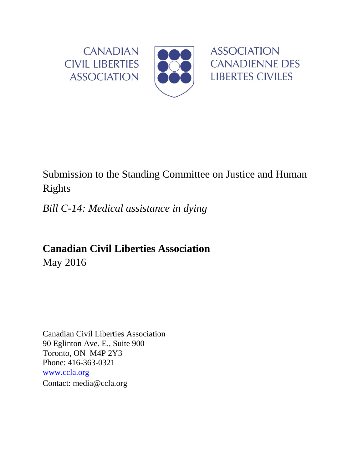

# Submission to the Standing Committee on Justice and Human Rights

*Bill C-14: Medical assistance in dying*

**Canadian Civil Liberties Association** May 2016

Canadian Civil Liberties Association 90 Eglinton Ave. E., Suite 900 Toronto, ON M4P 2Y3 Phone: 416-363-0321 [www.ccla.org](http://www.ccla.org/) Contact: media@ccla.org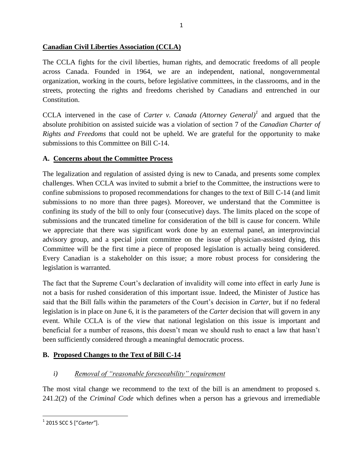#### **Canadian Civil Liberties Association (CCLA)**

The CCLA fights for the civil liberties, human rights, and democratic freedoms of all people across Canada. Founded in 1964, we are an independent, national, nongovernmental organization, working in the courts, before legislative committees, in the classrooms, and in the streets, protecting the rights and freedoms cherished by Canadians and entrenched in our Constitution.

CCLA intervened in the case of *Carter v. Canada (Attorney General)<sup>1</sup>* and argued that the absolute prohibition on assisted suicide was a violation of section 7 of the *Canadian Charter of Rights and Freedoms* that could not be upheld. We are grateful for the opportunity to make submissions to this Committee on Bill C-14.

#### **A. Concerns about the Committee Process**

The legalization and regulation of assisted dying is new to Canada, and presents some complex challenges. When CCLA was invited to submit a brief to the Committee, the instructions were to confine submissions to proposed recommendations for changes to the text of Bill C-14 (and limit submissions to no more than three pages). Moreover, we understand that the Committee is confining its study of the bill to only four (consecutive) days. The limits placed on the scope of submissions and the truncated timeline for consideration of the bill is cause for concern. While we appreciate that there was significant work done by an external panel, an interprovincial advisory group, and a special joint committee on the issue of physician-assisted dying, this Committee will be the first time a piece of proposed legislation is actually being considered. Every Canadian is a stakeholder on this issue; a more robust process for considering the legislation is warranted.

The fact that the Supreme Court's declaration of invalidity will come into effect in early June is not a basis for rushed consideration of this important issue. Indeed, the Minister of Justice has said that the Bill falls within the parameters of the Court's decision in *Carter,* but if no federal legislation is in place on June 6, it is the parameters of the *Carter* decision that will govern in any event. While CCLA is of the view that national legislation on this issue is important and beneficial for a number of reasons, this doesn't mean we should rush to enact a law that hasn't been sufficiently considered through a meaningful democratic process.

## **B. Proposed Changes to the Text of Bill C-14**

## *i) Removal of "reasonable foreseeability" requirement*

The most vital change we recommend to the text of the bill is an amendment to proposed s. 241.2(2) of the *Criminal Code* which defines when a person has a grievous and irremediable

 $\overline{\phantom{a}}$ 1 2015 SCC 5 ["*Carter"*].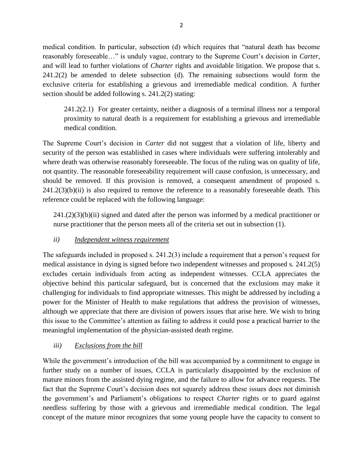medical condition. In particular, subsection (d) which requires that "natural death has become reasonably foreseeable…" is unduly vague, contrary to the Supreme Court's decision in *Carter,*  and will lead to further violations of *Charter* rights and avoidable litigation. We propose that s. 241.2(2) be amended to delete subsection (d). The remaining subsections would form the exclusive criteria for establishing a grievous and irremediable medical condition. A further section should be added following s. 241.2(2) stating:

241.2(2.1) For greater certainty, neither a diagnosis of a terminal illness nor a temporal proximity to natural death is a requirement for establishing a grievous and irremediable medical condition.

The Supreme Court's decision in *Carter* did not suggest that a violation of life, liberty and security of the person was established in cases where individuals were suffering intolerably and where death was otherwise reasonably foreseeable. The focus of the ruling was on quality of life, not quantity. The reasonable foreseeability requirement will cause confusion, is unnecessary, and should be removed. If this provision is removed, a consequent amendment of proposed s.  $241.2(3)(b)(ii)$  is also required to remove the reference to a reasonably foreseeable death. This reference could be replaced with the following language:

 $241(2)(3)(b)(ii)$  signed and dated after the person was informed by a medical practitioner or nurse practitioner that the person meets all of the criteria set out in subsection (1).

## *ii) Independent witness requirement*

The safeguards included in proposed s. 241.2(3) include a requirement that a person's request for medical assistance in dying is signed before two independent witnesses and proposed s. 241.2(5) excludes certain individuals from acting as independent witnesses. CCLA appreciates the objective behind this particular safeguard, but is concerned that the exclusions may make it challenging for individuals to find appropriate witnesses. This might be addressed by including a power for the Minister of Health to make regulations that address the provision of witnesses, although we appreciate that there are division of powers issues that arise here. We wish to bring this issue to the Committee's attention as failing to address it could pose a practical barrier to the meaningful implementation of the physician-assisted death regime.

## *iii) Exclusions from the bill*

While the government's introduction of the bill was accompanied by a commitment to engage in further study on a number of issues, CCLA is particularly disappointed by the exclusion of mature minors from the assisted dying regime, and the failure to allow for advance requests. The fact that the Supreme Court's decision does not squarely address these issues does not diminish the government's and Parliament's obligations to respect *Charter* rights or to guard against needless suffering by those with a grievous and irremediable medical condition. The legal concept of the mature minor recognizes that some young people have the capacity to consent to